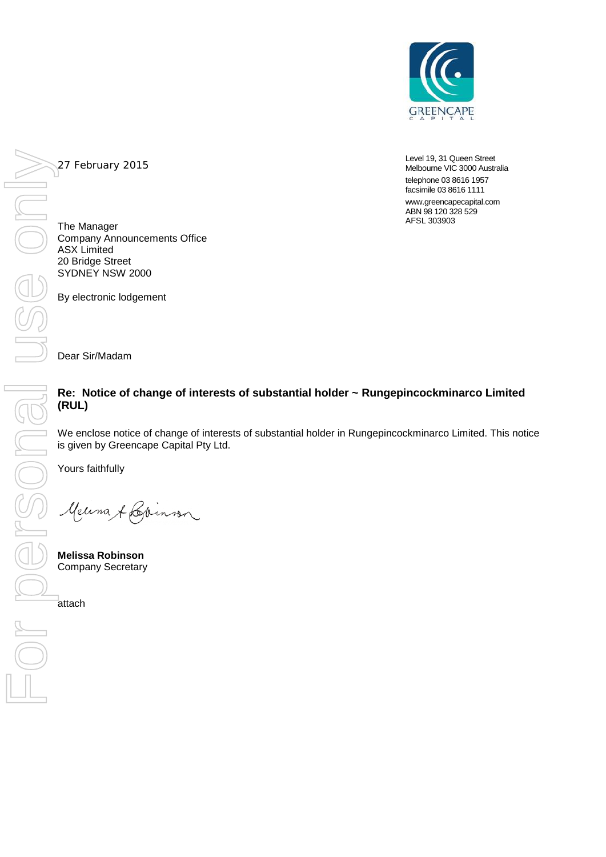

Level 19, 31 Queen Street Melbourne VIC 3000 Australia telephone 03 8616 1957 facsimile 03 8616 1111

www.greencapecapital.com ABN 98 120 328 529 AFSL 303903

27 February 2015

The Manager Company Announcements Office ASX Limited 20 Bridge Street SYDNEY NSW 2000

By electronic lodgement

Dear Sir/Madam

## **Re: Notice of change of interests of substantial holder ~ Rungepincockminarco Limited (RUL)**

We enclose notice of change of interests of substantial holder in Rungepincockminarco Limited. This notice is given by Greencape Capital Pty Ltd.

Yours faithfully

Meuna & Lainnen

**Melissa Robinson**  Company Secretary

attach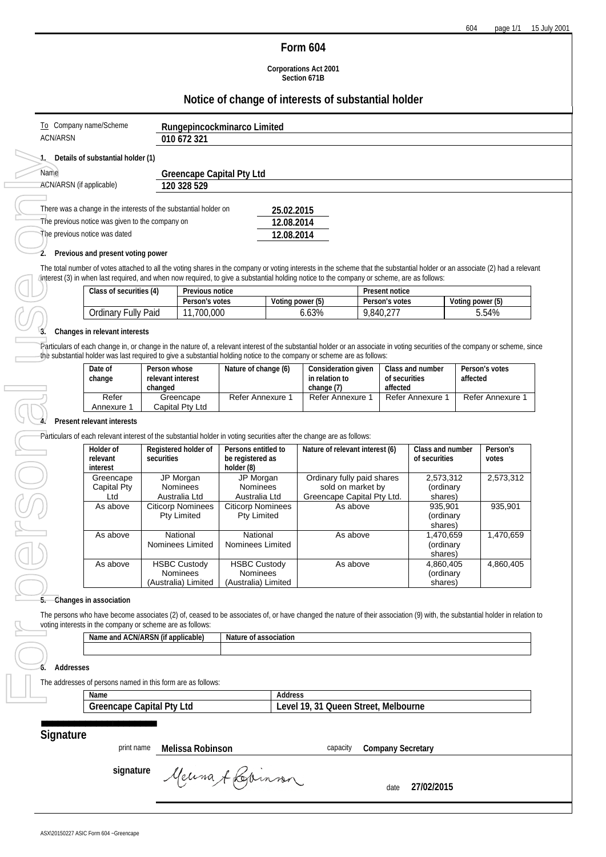## **Form 604**

**Corporations Act 2001 Section 671B**

## **Notice of change of interests of substantial holder**

| Name                                                                                                                                                 | <b>Greencape Capital Pty Ltd</b><br>ACN/ARSN (if applicable)<br>120 328 529         |                                                |                                             |                                                |                                                 |                                                                                                                                                                                                                                                                                                                          |                                                 |                                               |                                 |                  |                            |  |
|------------------------------------------------------------------------------------------------------------------------------------------------------|-------------------------------------------------------------------------------------|------------------------------------------------|---------------------------------------------|------------------------------------------------|-------------------------------------------------|--------------------------------------------------------------------------------------------------------------------------------------------------------------------------------------------------------------------------------------------------------------------------------------------------------------------------|-------------------------------------------------|-----------------------------------------------|---------------------------------|------------------|----------------------------|--|
| There was a change in the interests of the substantial holder on<br>The previous notice was given to the company on<br>The previous notice was dated |                                                                                     |                                                |                                             |                                                |                                                 | 25.02.2015<br>12.08.2014<br>12.08.2014                                                                                                                                                                                                                                                                                   |                                                 |                                               |                                 |                  |                            |  |
| 2.                                                                                                                                                   | Previous and present voting power                                                   |                                                |                                             |                                                |                                                 |                                                                                                                                                                                                                                                                                                                          |                                                 |                                               |                                 |                  |                            |  |
|                                                                                                                                                      |                                                                                     |                                                |                                             |                                                |                                                 | The total number of votes attached to all the voting shares in the company or voting interests in the scheme that the substantial holder or an associate (2) had a relevant<br>Interest (3) in when last required, and when now required, to give a substantial holding notice to the company or scheme, are as follows: |                                                 |                                               |                                 |                  |                            |  |
|                                                                                                                                                      | Class of securities (4)                                                             |                                                | Previous notice                             |                                                |                                                 | Voting power (5)                                                                                                                                                                                                                                                                                                         |                                                 | Present notice<br>Person's votes              |                                 | Voting power (5) |                            |  |
|                                                                                                                                                      | Ordinary Fully Paid                                                                 |                                                | Person's votes<br>11,700,000                |                                                |                                                 | 6.63%                                                                                                                                                                                                                                                                                                                    | 9,840,277                                       |                                               |                                 |                  | 5.54%                      |  |
|                                                                                                                                                      | Changes in relevant interests                                                       |                                                |                                             |                                                |                                                 |                                                                                                                                                                                                                                                                                                                          |                                                 |                                               |                                 |                  |                            |  |
|                                                                                                                                                      |                                                                                     |                                                |                                             |                                                |                                                 | Particulars of each change in, or change in the nature of, a relevant interest of the substantial holder or an associate in voting securities of the company or scheme, since<br>the substantial holder was last required to give a substantial holding notice to the company or scheme are as follows:                  |                                                 |                                               |                                 |                  |                            |  |
|                                                                                                                                                      | Date of<br>change                                                                   | Person whose<br>relevant interest<br>changed   |                                             | Nature of change (6)                           |                                                 | Consideration given<br>in relation to<br>change (7)                                                                                                                                                                                                                                                                      |                                                 | Class and number<br>of securities<br>affected |                                 |                  | Person's votes<br>affected |  |
|                                                                                                                                                      | Refer<br>Annexure 1                                                                 |                                                | Greencape<br>Capital Pty Ltd                | Refer Annexure 1                               |                                                 | Refer Annexure 1                                                                                                                                                                                                                                                                                                         |                                                 |                                               | Refer Annexure 1                |                  | Refer Annexure 1           |  |
|                                                                                                                                                      | Present relevant interests                                                          |                                                |                                             |                                                |                                                 |                                                                                                                                                                                                                                                                                                                          |                                                 |                                               |                                 |                  |                            |  |
|                                                                                                                                                      |                                                                                     |                                                |                                             |                                                |                                                 | Particulars of each relevant interest of the substantial holder in voting securities after the change are as follows:                                                                                                                                                                                                    |                                                 |                                               |                                 |                  |                            |  |
|                                                                                                                                                      | Holder of                                                                           |                                                | Registered holder of<br>Persons entitled to |                                                | Nature of relevant interest (6)                 |                                                                                                                                                                                                                                                                                                                          |                                                 |                                               | Class and number                |                  | Person's                   |  |
|                                                                                                                                                      | relevant<br>interest                                                                |                                                | securities                                  |                                                | be registered as                                |                                                                                                                                                                                                                                                                                                                          |                                                 |                                               | of securities                   |                  | votes                      |  |
|                                                                                                                                                      | Greencape                                                                           |                                                | JP Morgan                                   |                                                | JP Morgan                                       | Ordinary fully paid shares                                                                                                                                                                                                                                                                                               |                                                 |                                               | 2,573,312                       |                  | 2,573,312                  |  |
|                                                                                                                                                      | <b>Capital Pty</b><br>Ltd                                                           |                                                | Nominees<br>Australia Ltd                   |                                                | Nominees<br>Australia Ltd                       |                                                                                                                                                                                                                                                                                                                          | sold on market by<br>Greencape Capital Pty Ltd. |                                               | (ordinary<br>shares)            |                  |                            |  |
|                                                                                                                                                      | As above                                                                            | <b>Citicorp Nominees</b><br><b>Pty Limited</b> |                                             | <b>Citicorp Nominees</b><br><b>Pty Limited</b> |                                                 | As above                                                                                                                                                                                                                                                                                                                 |                                                 |                                               | 935,901<br>(ordinary<br>shares) |                  | 935,901                    |  |
|                                                                                                                                                      | As above                                                                            |                                                | National<br>Nominees Limited                | National<br>Nominees Limited                   |                                                 | As above                                                                                                                                                                                                                                                                                                                 |                                                 | 1,470,659<br>(ordinary<br>shares)             |                                 | 1,470,659        |                            |  |
|                                                                                                                                                      | As above                                                                            |                                                | <b>HSBC Custody</b><br>Nominees             | <b>HSBC Custody</b><br>Nominees                |                                                 | As above                                                                                                                                                                                                                                                                                                                 |                                                 |                                               | 4,860,405<br>(ordinary          |                  | 4,860,405                  |  |
|                                                                                                                                                      |                                                                                     |                                                | (Australia) Limited                         | (Australia) Limited                            |                                                 |                                                                                                                                                                                                                                                                                                                          |                                                 |                                               | shares)                         |                  |                            |  |
|                                                                                                                                                      | Changes in association<br>voting interests in the company or scheme are as follows: |                                                |                                             |                                                |                                                 | The persons who have become associates (2) of, ceased to be associates of, or have changed the nature of their association (9) with, the substantial holder in relation to                                                                                                                                               |                                                 |                                               |                                 |                  |                            |  |
|                                                                                                                                                      | Name and ACN/ARSN (if applicable)                                                   |                                                |                                             | Nature of association                          |                                                 |                                                                                                                                                                                                                                                                                                                          |                                                 |                                               |                                 |                  |                            |  |
|                                                                                                                                                      |                                                                                     |                                                |                                             |                                                |                                                 |                                                                                                                                                                                                                                                                                                                          |                                                 |                                               |                                 |                  |                            |  |
| Addresses                                                                                                                                            |                                                                                     |                                                |                                             |                                                |                                                 |                                                                                                                                                                                                                                                                                                                          |                                                 |                                               |                                 |                  |                            |  |
|                                                                                                                                                      | The addresses of persons named in this form are as follows:                         |                                                |                                             |                                                |                                                 |                                                                                                                                                                                                                                                                                                                          |                                                 |                                               |                                 |                  |                            |  |
|                                                                                                                                                      | Name<br><b>Greencape Capital Pty Ltd</b>                                            |                                                |                                             |                                                | Address<br>Level 19, 31 Queen Street, Melbourne |                                                                                                                                                                                                                                                                                                                          |                                                 |                                               |                                 |                  |                            |  |
|                                                                                                                                                      |                                                                                     |                                                |                                             |                                                |                                                 |                                                                                                                                                                                                                                                                                                                          |                                                 |                                               |                                 |                  |                            |  |
| Signature                                                                                                                                            |                                                                                     |                                                |                                             |                                                |                                                 |                                                                                                                                                                                                                                                                                                                          |                                                 |                                               |                                 |                  |                            |  |
|                                                                                                                                                      | print name                                                                          |                                                | Melissa Robinson                            |                                                |                                                 | capacity                                                                                                                                                                                                                                                                                                                 |                                                 | <b>Company Secretary</b>                      |                                 |                  |                            |  |